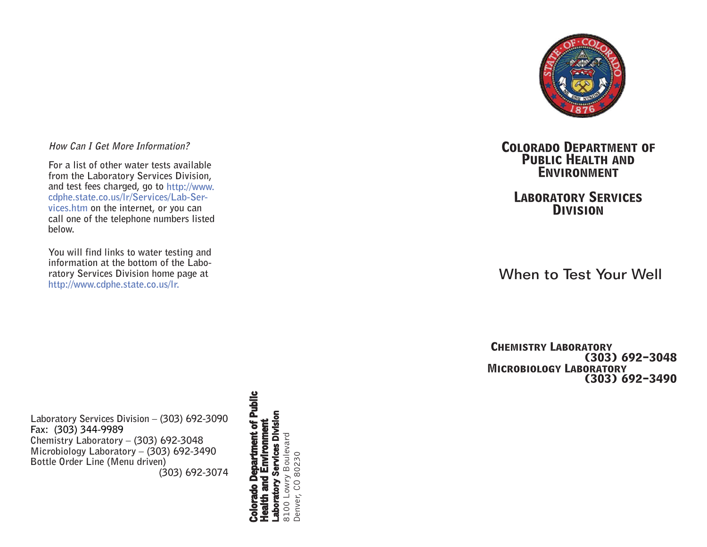

# **How Can I Get More Information?**

**For a list of other water tests available from the Laboratory Services Division, and test fees charged, go to http://www. cdphe.state.co.us/lr/Services/Lab-Services.htm on the internet, or you can call one of the telephone numbers listed below.** 

**You will find links to water testing and information at the bottom of the Laboratory Services Division home page at http://www.cdphe.state.co.us/lr.**

**Laboratory Services Division – (303) 692-3090 Fax: (303) 344-9989 Chemistry Laboratory – (303) 692-3048 Microbiology Laboratory – (303) 692-3490 Bottle Order Line (Menu driven) (303) 692-3074** **c Colorado Department of Public Health and Environment** Laboratory Services Division **l i u b rtm e n t o f P** Boulevard 8100 Lowry Boulevard 80230 Denver, CO 80230 **Depa** Lowry  $\circ$ **o**  ō **rad** Denver, 8100 **l o Co**

# **Colorado Department of Public Health and Environment**

# **Laboratory Services Division**

When to Test Your Well

**CHEMISTRY LABORATORY (303) 692-3048 Microbiology Laboratory (303) 692-3490**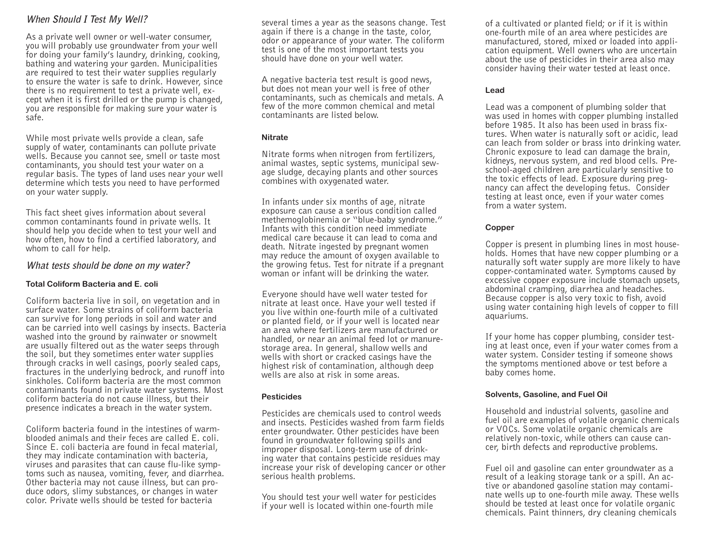# **When Should I Test My Well?**

As a private well owner or well-water consumer, you will probably use groundwater from your well for doing your family's laundry, drinking, cooking, bathing and watering your garden. Municipalities are required to test their water supplies regularly to ensure the water is safe to drink. However, since there is no requirement to test a private well, except when it is first drilled or the pump is changed, you are responsible for making sure your water is safe.

While most private wells provide a clean, safe supply of water, contaminants can pollute private wells. Because you cannot see, smell or taste most contaminants, you should test your water on a regular basis. The types of land uses near your well determine which tests you need to have performed on your water supply.

This fact sheet gives information about several common contaminants found in private wells. It should help you decide when to test your well and how often, how to find a certified laboratory, and whom to call for help.

# **What tests should be done on my water?**

#### **Total Coliform Bacteria and E. coli**

Coliform bacteria live in soil, on vegetation and in surface water. Some strains of coliform bacteria can survive for long periods in soil and water and can be carried into well casings by insects. Bacteria washed into the ground by rainwater or snowmelt are usually filtered out as the water seeps through the soil, but they sometimes enter water supplies through cracks in well casings, poorly sealed caps, fractures in the underlying bedrock, and runoff into sinkholes. Coliform bacteria are the most common contaminants found in private water systems. Most coliform bacteria do not cause illness, but their presence indicates a breach in the water system.

Coliform bacteria found in the intestines of warmblooded animals and their feces are called E. coli. Since E. coli bacteria are found in fecal material, they may indicate contamination with bacteria, viruses and parasites that can cause flu-like symptoms such as nausea, vomiting, fever, and diarrhea. Other bacteria may not cause illness, but can produce odors, slimy substances, or changes in water color. Private wells should be tested for bacteria

several times a year as the seasons change. Test again if there is a change in the taste, color, odor or appearance of your water. The coliform test is one of the most important tests you should have done on your well water.

A negative bacteria test result is good news, but does not mean your well is free of other contaminants, such as chemicals and metals. A few of the more common chemical and metal contaminants are listed below.

### **Nitrate**

Nitrate forms when nitrogen from fertilizers, animal wastes, septic systems, municipal sewage sludge, decaying plants and other sources combines with oxygenated water.

In infants under six months of age, nitrate exposure can cause a serious condition called methemoglobinemia or "blue-baby syndrome." Infants with this condition need immediate medical care because it can lead to coma and death. Nitrate ingested by pregnant women may reduce the amount of oxygen available to the growing fetus. Test for nitrate if a pregnant woman or infant will be drinking the water.

Everyone should have well water tested for nitrate at least once. Have your well tested if you live within one-fourth mile of a cultivated or planted field, or if your well is located near an area where fertilizers are manufactured or handled, or near an animal feed lot or manurestorage area. In general, shallow wells and wells with short or cracked casings have the highest risk of contamination, although deep wells are also at risk in some areas.

# **Pesticides**

Pesticides are chemicals used to control weeds and insects. Pesticides washed from farm fields enter groundwater. Other pesticides have been found in groundwater following spills and improper disposal. Long-term use of drinking water that contains pesticide residues may increase your risk of developing cancer or other serious health problems.

You should test your well water for pesticides if your well is located within one-fourth mile

of a cultivated or planted field; or if it is within one-fourth mile of an area where pesticides are manufactured, stored, mixed or loaded into application equipment. Well owners who are uncertain about the use of pesticides in their area also may consider having their water tested at least once.

### **Lead**

Lead was a component of plumbing solder that was used in homes with copper plumbing installed before 1985. It also has been used in brass fixtures. When water is naturally soft or acidic, lead can leach from solder or brass into drinking water. Chronic exposure to lead can damage the brain, kidneys, nervous system, and red blood cells. Preschool-aged children are particularly sensitive to the toxic effects of lead. Exposure during pregnancy can affect the developing fetus. Consider testing at least once, even if your water comes from a water system.

# **Copper**

Copper is present in plumbing lines in most households. Homes that have new copper plumbing or a naturally soft water supply are more likely to have copper-contaminated water. Symptoms caused by excessive copper exposure include stomach upsets, abdominal cramping, diarrhea and headaches. Because copper is also very toxic to fish, avoid using water containing high levels of copper to fill aquariums.

If your home has copper plumbing, consider testing at least once, even if your water comes from a water system. Consider testing if someone shows the symptoms mentioned above or test before a baby comes home.

# **Solvents, Gasoline, and Fuel Oil**

Household and industrial solvents, gasoline and fuel oil are examples of volatile organic chemicals or VOCs. Some volatile organic chemicals are relatively non-toxic, while others can cause cancer, birth defects and reproductive problems.

Fuel oil and gasoline can enter groundwater as a result of a leaking storage tank or a spill. An active or abandoned gasoline station may contaminate wells up to one-fourth mile away. These wells should be tested at least once for volatile organic chemicals. Paint thinners, dry cleaning chemicals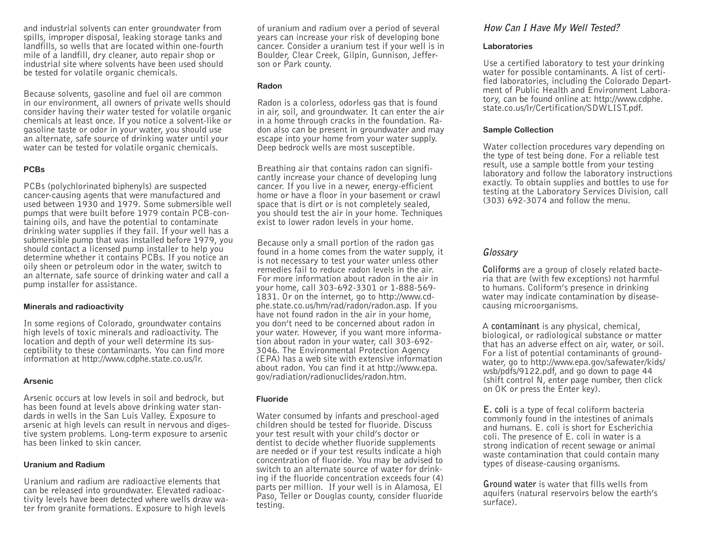and industrial solvents can enter groundwater from spills, improper disposal, leaking storage tanks and landfills, so wells that are located within one-fourth mile of a landfill, dry cleaner, auto repair shop or industrial site where solvents have been used should be tested for volatile organic chemicals.

Because solvents, gasoline and fuel oil are common in our environment, all owners of private wells should consider having their water tested for volatile organic chemicals at least once. If you notice a solvent-like or gasoline taste or odor in your water, you should use an alternate, safe source of drinking water until your water can be tested for volatile organic chemicals.

#### **PCBs**

PCBs (polychlorinated biphenyls) are suspected cancer-causing agents that were manufactured and used between 1930 and 1979. Some submersible well pumps that were built before 1979 contain PCB-containing oils, and have the potential to contaminate drinking water supplies if they fail. If your well has a submersible pump that was installed before 1979, you should contact a licensed pump installer to help you determine whether it contains PCBs. If you notice an oily sheen or petroleum odor in the water, switch to an alternate, safe source of drinking water and call a pump installer for assistance.

#### **Minerals and radioactivity**

In some regions of Colorado, groundwater contains high levels of toxic minerals and radioactivity. The location and depth of your well determine its susceptibility to these contaminants. You can find more information at http://www.cdphe.state.co.us/lr.

#### **Arsenic**

Arsenic occurs at low levels in soil and bedrock, but has been found at levels above drinking water standards in wells in the San Luis Valley. Exposure to arsenic at high levels can result in nervous and digestive system problems. Long-term exposure to arsenic has been linked to skin cancer.

#### **Uranium and Radium**

Uranium and radium are radioactive elements that can be released into groundwater. Elevated radioactivity levels have been detected where wells draw water from granite formations. Exposure to high levels

of uranium and radium over a period of several years can increase your risk of developing bone cancer. Consider a uranium test if your well is in Boulder, Clear Creek, Gilpin, Gunnison, Jefferson or Park county.

### **Radon**

Radon is a colorless, odorless gas that is found in air, soil, and groundwater. It can enter the air in a home through cracks in the foundation. Radon also can be present in groundwater and may escape into your home from your water supply. Deep bedrock wells are most susceptible.

Breathing air that contains radon can significantly increase your chance of developing lung cancer. If you live in a newer, energy-efficient home or have a floor in your basement or crawl space that is dirt or is not completely sealed, you should test the air in your home. Techniques exist to lower radon levels in your home.

Because only a small portion of the radon gas found in a home comes from the water supply, it is not necessary to test your water unless other remedies fail to reduce radon levels in the air. For more information about radon in the air in your home, call 303-692-3301 or 1-888-569- 1831. Or on the internet, go to http://www.cdphe.state.co.us/hm/rad/radon/radon.asp. If you have not found radon in the air in your home, you don't need to be concerned about radon in your water. However, if you want more information about radon in your water, call 303-692- 3046. The Environmental Protection Agency (EPA) has a web site with extensive information about radon. You can find it at http://www.epa. gov/radiation/radionuclides/radon.htm.

# **Fluoride**

Water consumed by infants and preschool-aged children should be tested for fluoride. Discuss your test result with your child's doctor or dentist to decide whether fluoride supplements are needed or if your test results indicate a high concentration of fluoride. You may be advised to switch to an alternate source of water for drinking if the fluoride concentration exceeds four (4) parts per million. If your well is in Alamosa, El Paso, Teller or Douglas county, consider fluoride testing.

# **How Can I Have My Well Tested?**

#### **Laboratories**

Use a certified laboratory to test your drinking water for possible contaminants. A list of certified laboratories, including the Colorado Department of Public Health and Environment Laboratory, can be found online at: http://www.cdphe. state.co.us/lr/Certification/SDWLIST.pdf.

#### **Sample Collection**

Water collection procedures vary depending on the type of test being done. For a reliable test result, use a sample bottle from your testing laboratory and follow the laboratory instructions exactly. To obtain supplies and bottles to use for testing at the Laboratory Services Division, call (303) 692-3074 and follow the menu.

# **Glossary**

**Coliforms** are a group of closely related bacteria that are (with few exceptions) not harmful to humans. Coliform's presence in drinking water may indicate contamination by diseasecausing microorganisms.

A **contaminant** is any physical, chemical, biological, or radiological substance or matter that has an adverse effect on air, water, or soil. For a list of potential contaminants of groundwater, go to http://www.epa.gov/safewater/kids/ wsb/pdfs/9122.pdf, and go down to page 44 (shift control N, enter page number, then click on OK or press the Enter key).

**E. coli** is a type of fecal coliform bacteria commonly found in the intestines of animals and humans. E. coli is short for Escherichia coli. The presence of E. coli in water is a strong indication of recent sewage or animal waste contamination that could contain many types of disease-causing organisms.

**Ground water** is water that fills wells from aquifers (natural reservoirs below the earth's surface).